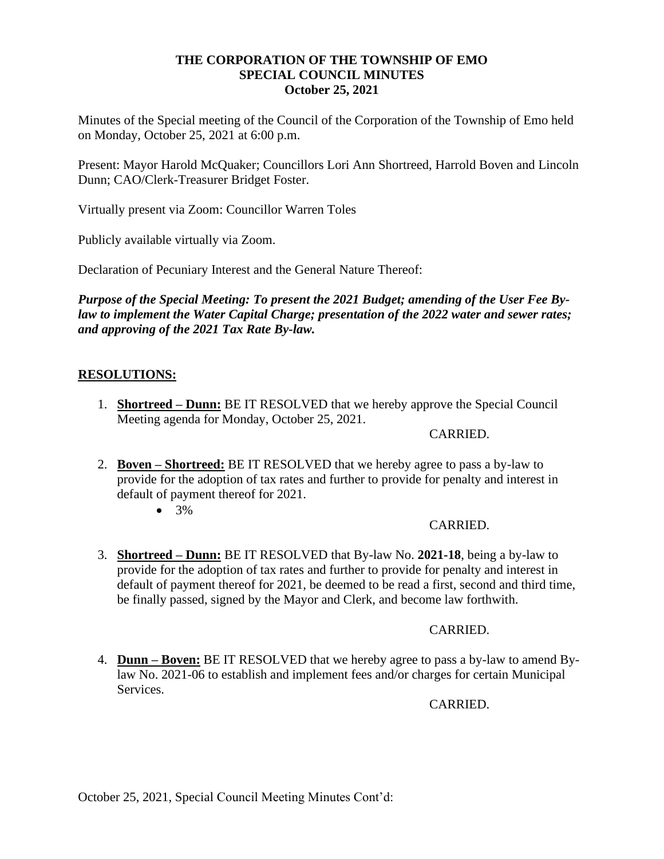# **THE CORPORATION OF THE TOWNSHIP OF EMO SPECIAL COUNCIL MINUTES October 25, 2021**

Minutes of the Special meeting of the Council of the Corporation of the Township of Emo held on Monday, October 25, 2021 at 6:00 p.m.

Present: Mayor Harold McQuaker; Councillors Lori Ann Shortreed, Harrold Boven and Lincoln Dunn; CAO/Clerk-Treasurer Bridget Foster.

Virtually present via Zoom: Councillor Warren Toles

Publicly available virtually via Zoom.

Declaration of Pecuniary Interest and the General Nature Thereof:

*Purpose of the Special Meeting: To present the 2021 Budget; amending of the User Fee Bylaw to implement the Water Capital Charge; presentation of the 2022 water and sewer rates; and approving of the 2021 Tax Rate By-law.* 

# **RESOLUTIONS:**

1. **Shortreed – Dunn:** BE IT RESOLVED that we hereby approve the Special Council Meeting agenda for Monday, October 25, 2021.

#### CARRIED.

- 2. **Boven – Shortreed:** BE IT RESOLVED that we hereby agree to pass a by-law to provide for the adoption of tax rates and further to provide for penalty and interest in default of payment thereof for 2021.
	- $3\%$

### CARRIED.

3. **Shortreed – Dunn:** BE IT RESOLVED that By-law No. **2021-18**, being a by-law to provide for the adoption of tax rates and further to provide for penalty and interest in default of payment thereof for 2021, be deemed to be read a first, second and third time, be finally passed, signed by the Mayor and Clerk, and become law forthwith.

### CARRIED.

4. **Dunn – Boven:** BE IT RESOLVED that we hereby agree to pass a by-law to amend Bylaw No. 2021-06 to establish and implement fees and/or charges for certain Municipal Services.

CARRIED.